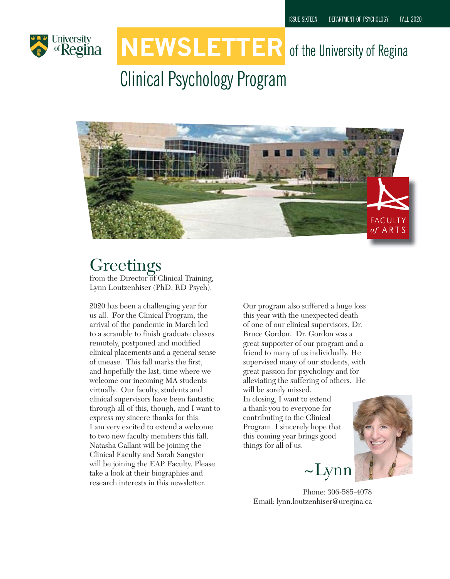

# **NEWSLETTER** of the University of Regina

# Clinical Psychology Program



### **Greetings**

from the Director of Clinical Training, Lynn Loutzenhiser (PhD, RD Psych).

2020 has been a challenging year for us all. For the Clinical Program, the arrival of the pandemic in March led to a scramble to finish graduate classes remotely, postponed and modified clinical placements and a general sense of unease. This fall marks the first, and hopefully the last, time where we welcome our incoming MA students virtually. Our faculty, students and clinical supervisors have been fantastic through all of this, though, and I want to express my sincere thanks for this. I am very excited to extend a welcome to two new faculty members this fall. Natasha Gallant will be joining the Clinical Faculty and Sarah Sangster will be joining the EAP Faculty. Please take a look at their biographies and research interests in this newsletter.

Our program also suffered a huge loss this year with the unexpected death of one of our clinical supervisors, Dr. Bruce Gordon. Dr. Gordon was a great supporter of our program and a friend to many of us individually. He supervised many of our students, with great passion for psychology and for alleviating the suffering of others. He will be sorely missed.

In closing, I want to extend a thank you to everyone for contributing to the Clinical Program. I sincerely hope that this coming year brings good things for all of us.



Phone: 306-585-4078 Email: lynn.loutzenhiser@uregina.ca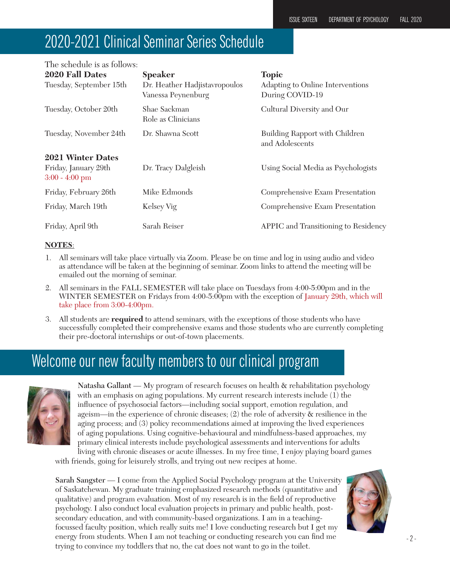### 2020-2021 Clinical Seminar Series Schedule

| The schedule is as follows:                                   |                                                     |                                                     |
|---------------------------------------------------------------|-----------------------------------------------------|-----------------------------------------------------|
| 2020 Fall Dates                                               | <b>Speaker</b>                                      | <b>Topic</b>                                        |
| Tuesday, September 15th                                       | Dr. Heather Hadjistavropoulos<br>Vanessa Peynenburg | Adapting to Online Interventions<br>During COVID-19 |
| Tuesday, October 20th                                         | Shae Sackman<br>Role as Clinicians                  | Cultural Diversity and Our                          |
| Tuesday, November 24th                                        | Dr. Shawna Scott                                    | Building Rapport with Children<br>and Adolescents   |
| 2021 Winter Dates<br>Friday, January 29th<br>$3:00 - 4:00$ pm | Dr. Tracy Dalgleish                                 | Using Social Media as Psychologists                 |
| Friday, February 26th                                         | Mike Edmonds                                        | Comprehensive Exam Presentation                     |
| Friday, March 19th                                            | Kelsey Vig                                          | Comprehensive Exam Presentation                     |
| Friday, April 9th                                             | Sarah Reiser                                        | APPIC and Transitioning to Residency                |

#### **NOTES**:

- 1. All seminars will take place virtually via Zoom. Please be on time and log in using audio and video as attendance will be taken at the beginning of seminar. Zoom links to attend the meeting will be emailed out the morning of seminar.
- 2. All seminars in the FALL SEMESTER will take place on Tuesdays from 4:00-5:00pm and in the WINTER SEMESTER on Fridays from 4:00-5:00pm with the exception of January 29th, which will take place from 3:00-4:00pm.
- 3. All students are **required** to attend seminars, with the exceptions of those students who have successfully completed their comprehensive exams and those students who are currently completing their pre-doctoral internships or out-of-town placements.

### Welcome our new faculty members to our clinical program



Natasha Gallant — My program of research focuses on health & rehabilitation psychology with an emphasis on aging populations. My current research interests include (1) the influence of psychosocial factors—including social support, emotion regulation, and ageism—in the experience of chronic diseases; (2) the role of adversity & resilience in the aging process; and (3) policy recommendations aimed at improving the lived experiences of aging populations. Using cognitive-behavioural and mindfulness-based approaches, my primary clinical interests include psychological assessments and interventions for adults living with chronic diseases or acute illnesses. In my free time, I enjoy playing board games

with friends, going for leisurely strolls, and trying out new recipes at home.

Sarah Sangster — I come from the Applied Social Psychology program at the University of Saskatchewan. My graduate training emphasized research methods (quantitative and qualitative) and program evaluation. Most of my research is in the field of reproductive psychology. I also conduct local evaluation projects in primary and public health, postsecondary education, and with community-based organizations. I am in a teachingfocussed faculty position, which really suits me! I love conducting research but I get my energy from students. When I am not teaching or conducting research you can find me trying to convince my toddlers that no, the cat does not want to go in the toilet.

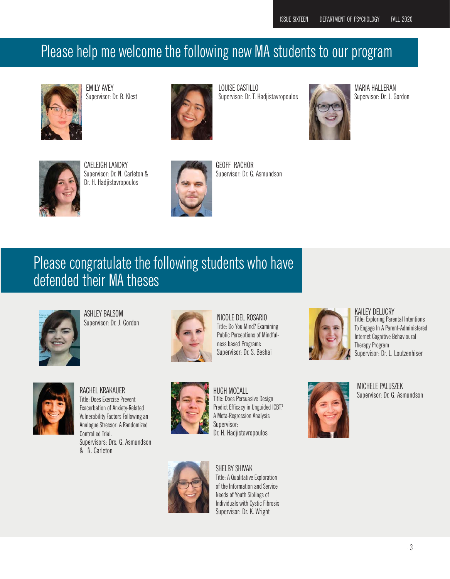### Please help me welcome the following new MA students to our program



EMILY AVEY Supervisor: Dr. B. Klest



LOUISE CASTILLO Supervisor: Dr. T. Hadjistavropoulos



MARIA HALLERAN Supervisor: Dr. J. Gordon



CAELEIGH LANDRY Supervisor: Dr. N. Carleton & Dr. H. Hadjistavropoulos



GEOFF RACHOR Supervisor: Dr. G. Asmundson

### Please congratulate the following students who have defended their MA theses



ASHLEY BALSOM Supervisor: Dr. J. Gordon



NICOLE DEL ROSARIO Title: Do You Mind? Examining Public Perceptions of Mindfulness based Programs Supervisor: Dr. S. Beshai



KAILEY DELUCRY Title: Exploring Parental Intentions To Engage In A Parent-Administered Internet Cognitive Behavioural Therapy Program Supervisor: Dr. L. Loutzenhiser



RACHEL KRAKAUER Title: Does Exercise Prevent Exacerbation of Anxiety-Related Vulnerability Factors Following an Analogue Stressor: A Randomized Controlled Trial. Supervisors: Drs. G. Asmundson & N. Carleton



HUGH MCCALL Title: Does Persuasive Design Predict Efficacy in Unguided ICBT? A Meta-Regression Analysis Supervisor: Dr. H. Hadjistavropoulos



SHELBY SHIVAK Title: A Qualitative Exploration of the Information and Service Needs of Youth Siblings of Individuals with Cystic Fibrosis Supervisor: Dr. K. Wright



MICHELE PALUSZEK Supervisor: Dr. G. Asmundson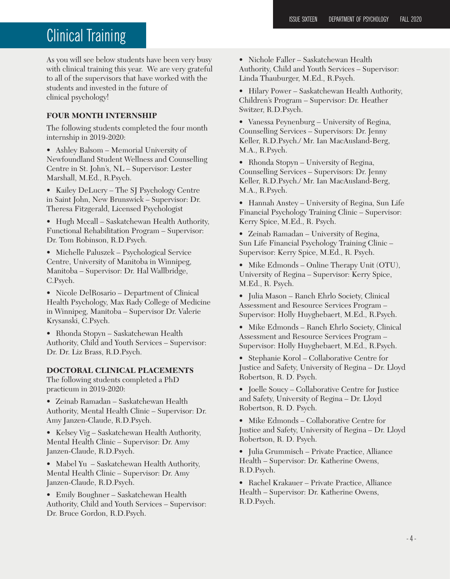### **Clinical Training**

As you will see below students have been very busy with clinical training this year. We are very grateful to all of the supervisors that have worked with the students and invested in the future of clinical psychology!

#### **FOUR MONTH INTERNSHIP**

The following students completed the four month internship in 2019-2020:

• Ashley Balsom – Memorial University of Newfoundland Student Wellness and Counselling Centre in St. John's, NL – Supervisor: Lester Marshall, M.Ed., R.Psych.

• Kailey DeLucry – The SJ Psychology Centre in Saint John, New Brunswick – Supervisor: Dr. Theresa Fitzgerald, Licensed Psychologist

• Hugh Mccall – Saskatchewan Health Authority, Functional Rehabilitation Program – Supervisor: Dr. Tom Robinson, R.D.Psych.

• Michelle Paluszek – Psychological Service Centre, University of Manitoba in Winnipeg, Manitoba – Supervisor: Dr. Hal Wallbridge, C.Psych.

• Nicole DelRosario – Department of Clinical Health Psychology, Max Rady College of Medicine in Winnipeg, Manitoba – Supervisor Dr. Valerie Krysanski, C.Psych.

• Rhonda Stopyn – Saskatchewan Health Authority, Child and Youth Services – Supervisor: Dr. Dr. Liz Brass, R.D.Psych.

#### **DOCTORAL CLINICAL PLACEMENTS**

The following students completed a PhD practicum in 2019-2020:

• Zeinab Ramadan – Saskatchewan Health Authority, Mental Health Clinic – Supervisor: Dr. Amy Janzen-Claude, R.D.Psych.

• Kelsey Vig – Saskatchewan Health Authority, Mental Health Clinic – Supervisor: Dr. Amy Janzen-Claude, R.D.Psych.

• Mabel Yu – Saskatchewan Health Authority, Mental Health Clinic – Supervisor: Dr. Amy Janzen-Claude, R.D.Psych.

• Emily Boughner – Saskatchewan Health Authority, Child and Youth Services – Supervisor: Dr. Bruce Gordon, R.D.Psych.

• Nichole Faller – Saskatchewan Health Authority, Child and Youth Services – Supervisor: Linda Thauburger, M.Ed., R.Psych.

• Hilary Power – Saskatchewan Health Authority, Children's Program – Supervisor: Dr. Heather Switzer, R.D.Psych.

• Vanessa Peynenburg – University of Regina, Counselling Services – Supervisors: Dr. Jenny Keller, R.D.Psych./ Mr. Ian MacAusland-Berg, M.A., R.Psych.

• Rhonda Stopyn – University of Regina, Counselling Services – Supervisors: Dr. Jenny Keller, R.D.Psych./ Mr. Ian MacAusland-Berg, M.A., R.Psych.

• Hannah Anstey – University of Regina, Sun Life Financial Psychology Training Clinic – Supervisor: Kerry Spice, M.Ed., R. Psych.

• Zeinab Ramadan – University of Regina, Sun Life Financial Psychology Training Clinic – Supervisor: Kerry Spice, M.Ed., R. Psych.

• Mike Edmonds – Online Therapy Unit (OTU), University of Regina – Supervisor: Kerry Spice, M.Ed., R. Psych.

• Julia Mason – Ranch Ehrlo Society, Clinical Assessment and Resource Services Program – Supervisor: Holly Huyghebaert, M.Ed., R.Psych.

• Mike Edmonds – Ranch Ehrlo Society, Clinical Assessment and Resource Services Program – Supervisor: Holly Huyghebaert, M.Ed., R.Psych.

• Stephanie Korol – Collaborative Centre for Justice and Safety, University of Regina – Dr. Lloyd Robertson, R. D. Psych.

• Joelle Soucy – Collaborative Centre for Justice and Safety, University of Regina – Dr. Lloyd Robertson, R. D. Psych.

• Mike Edmonds – Collaborative Centre for Justice and Safety, University of Regina – Dr. Lloyd Robertson, R. D. Psych.

• Julia Grummisch – Private Practice, Alliance Health – Supervisor: Dr. Katherine Owens, R.D.Psych.

• Rachel Krakauer – Private Practice, Alliance Health – Supervisor: Dr. Katherine Owens, R.D.Psych.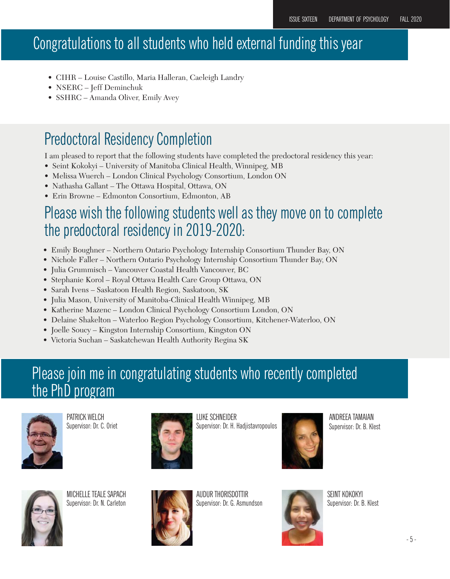### Congratulations to all students who held external funding this year

- CIHR Louise Castillo, Maria Halleran, Caeleigh Landry
- NSERC Jeff Deminchuk
- SSHRC Amanda Oliver, Emily Avey

### Predoctoral Residency Completion

I am pleased to report that the following students have completed the predoctoral residency this year:

- Seint Kokokyi University of Manitoba Clinical Health, Winnipeg, MB
- Melissa Wuerch London Clinical Psychology Consortium, London ON
- Nathasha Gallant The Ottawa Hospital, Ottawa, ON
- Erin Browne Edmonton Consortium, Edmonton, AB

### Please wish the following students well as they move on to complete the predoctoral residency in 2019-2020:

- Emily Boughner Northern Ontario Psychology Internship Consortium Thunder Bay, ON
- Nichole Faller Northern Ontario Psychology Internship Consortium Thunder Bay, ON
- Julia Grummisch Vancouver Coastal Health Vancouver, BC
- Stephanie Korol Royal Ottawa Health Care Group Ottawa, ON
- Sarah Ivens Saskatoon Health Region, Saskatoon, SK
- Julia Mason, University of Manitoba-Clinical Health Winnipeg, MB
- Katherine Mazenc London Clinical Psychology Consortium London, ON
- Delaine Shakelton Waterloo Region Psychology Consortium, Kitchener-Waterloo, ON
- Joelle Soucy Kingston Internship Consortium, Kingston ON
- Victoria Suchan Saskatchewan Health Authority Regina SK

### Please join me in congratulating students who recently completed the PhD program



PATRICK WELCH Supervisor: Dr. C. Oriet



LUKE SCHNEIDER Supervisor: Dr. H. Hadjistavropoulos



ANDREEA TAMAIAN Supervisor: Dr. B. Klest



MICHELLE TEALE SAPACH Supervisor: Dr. N. Carleton



AUDUR THORISDOTTIR Supervisor: Dr. G. Asmundson



SEINT KOKOKYI Supervisor: Dr. B. Klest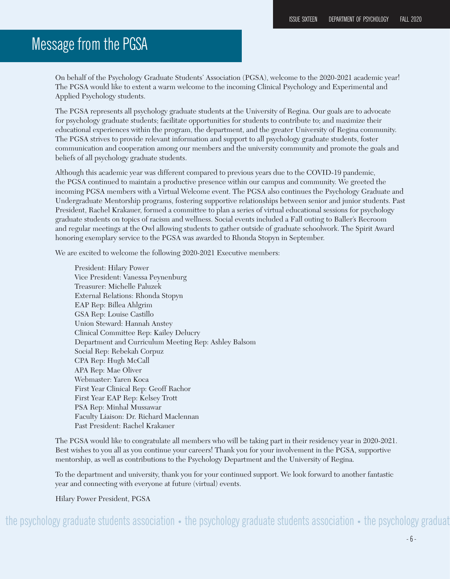### Message from the PGSA

On behalf of the Psychology Graduate Students' Association (PGSA), welcome to the 2020-2021 academic year! The PGSA would like to extent a warm welcome to the incoming Clinical Psychology and Experimental and Applied Psychology students.

The PGSA represents all psychology graduate students at the University of Regina. Our goals are to advocate for psychology graduate students; facilitate opportunities for students to contribute to; and maximize their educational experiences within the program, the department, and the greater University of Regina community. The PGSA strives to provide relevant information and support to all psychology graduate students, foster communication and cooperation among our members and the university community and promote the goals and beliefs of all psychology graduate students.

Although this academic year was different compared to previous years due to the COVID-19 pandemic, the PGSA continued to maintain a productive presence within our campus and community. We greeted the incoming PGSA members with a Virtual Welcome event. The PGSA also continues the Psychology Graduate and Undergraduate Mentorship programs, fostering supportive relationships between senior and junior students. Past President, Rachel Krakauer, formed a committee to plan a series of virtual educational sessions for psychology graduate students on topics of racism and wellness. Social events included a Fall outing to Baller's Recroom and regular meetings at the Owl allowing students to gather outside of graduate schoolwork. The Spirit Award honoring exemplary service to the PGSA was awarded to Rhonda Stopyn in September.

We are excited to welcome the following 2020-2021 Executive members:

President: Hilary Power Vice President: Vanessa Peynenburg Treasurer: Michelle Paluzek External Relations: Rhonda Stopyn EAP Rep: Billea Ahlgrim GSA Rep: Louise Castillo Union Steward: Hannah Anstey Clinical Committee Rep: Kailey Delucry Department and Curriculum Meeting Rep: Ashley Balsom Social Rep: Rebekah Corpuz CPA Rep: Hugh McCall APA Rep: Mae Oliver Webmaster: Yaren Koca First Year Clinical Rep: Geoff Rachor First Year EAP Rep: Kelsey Trott PSA Rep: Minhal Mussawar Faculty Liaison: Dr. Richard Maclennan Past President: Rachel Krakauer

The PGSA would like to congratulate all members who will be taking part in their residency year in 2020-2021. Best wishes to you all as you continue your careers! Thank you for your involvement in the PGSA, supportive mentorship, as well as contributions to the Psychology Department and the University of Regina.

To the department and university, thank you for your continued support. We look forward to another fantastic year and connecting with everyone at future (virtual) events.

Hilary Power President, PGSA

the psychology graduate students association • the psychology graduate students association • the psychology graduat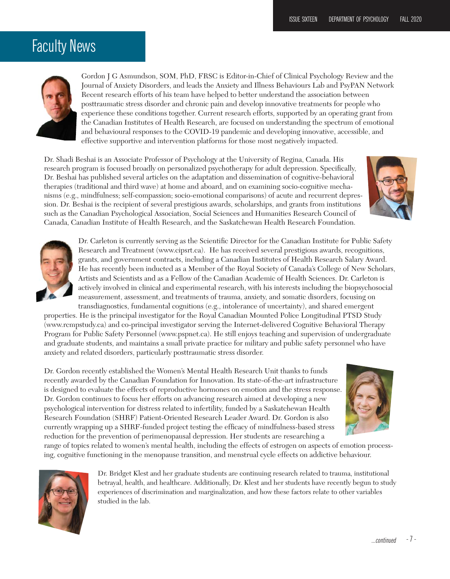### Faculty News



Gordon J G Asmundson, SOM, PhD, FRSC is Editor-in-Chief of Clinical Psychology Review and the Journal of Anxiety Disorders, and leads the Anxiety and Illness Behaviours Lab and PsyPAN Network Recent research efforts of his team have helped to better understand the association between posttraumatic stress disorder and chronic pain and develop innovative treatments for people who experience these conditions together. Current research efforts, supported by an operating grant from the Canadian Institutes of Health Research, are focused on understanding the spectrum of emotional and behavioural responses to the COVID-19 pandemic and developing innovative, accessible, and effective supportive and intervention platforms for those most negatively impacted.

Dr. Shadi Beshai is an Associate Professor of Psychology at the University of Regina, Canada. His research program is focused broadly on personalized psychotherapy for adult depression. Specifically, Dr. Beshai has published several articles on the adaptation and dissemination of cognitive-behavioral therapies (traditional and third wave) at home and aboard, and on examining socio-cognitive mechanisms (e.g., mindfulness; self-compassion; socio-emotional comparisons) of acute and recurrent depression. Dr. Beshai is the recipient of several prestigious awards, scholarships, and grants from institutions such as the Canadian Psychological Association, Social Sciences and Humanities Research Council of Canada, Canadian Institute of Health Research, and the Saskatchewan Health Research Foundation.





Dr. Carleton is currently serving as the Scientific Director for the Canadian Institute for Public Safety Research and Treatment (www.cipsrt.ca). He has received several prestigious awards, recognitions, grants, and government contracts, including a Canadian Institutes of Health Research Salary Award. He has recently been inducted as a Member of the Royal Society of Canada's College of New Scholars, Artists and Scientists and as a Fellow of the Canadian Academic of Health Sciences. Dr. Carleton is actively involved in clinical and experimental research, with his interests including the biopsychosocial measurement, assessment, and treatments of trauma, anxiety, and somatic disorders, focusing on transdiagnostics, fundamental cognitions (e.g., intolerance of uncertainty), and shared emergent

properties. He is the principal investigator for the Royal Canadian Mounted Police Longitudinal PTSD Study (www.rcmpstudy.ca) and co-principal investigator serving the Internet-delivered Cognitive Behavioral Therapy Program for Public Safety Personnel (www.pspnet.ca). He still enjoys teaching and supervision of undergraduate and graduate students, and maintains a small private practice for military and public safety personnel who have anxiety and related disorders, particularly posttraumatic stress disorder.

Dr. Gordon recently established the Women's Mental Health Research Unit thanks to funds recently awarded by the Canadian Foundation for Innovation. Its state-of-the-art infrastructure is designed to evaluate the effects of reproductive hormones on emotion and the stress response. Dr. Gordon continues to focus her efforts on advancing research aimed at developing a new psychological intervention for distress related to infertility, funded by a Saskatchewan Health Research Foundation (SHRF) Patient-Oriented Research Leader Award. Dr. Gordon is also currently wrapping up a SHRF-funded project testing the efficacy of mindfulness-based stress reduction for the prevention of perimenopausal depression. Her students are researching a



range of topics related to women's mental health, including the effects of estrogen on aspects of emotion processing, cognitive functioning in the menopause transition, and menstrual cycle effects on addictive behaviour.



Dr. Bridget Klest and her graduate students are continuing research related to trauma, institutional betrayal, health, and healthcare. Additionally, Dr. Klest and her students have recently begun to study experiences of discrimination and marginalization, and how these factors relate to other variables studied in the lab.